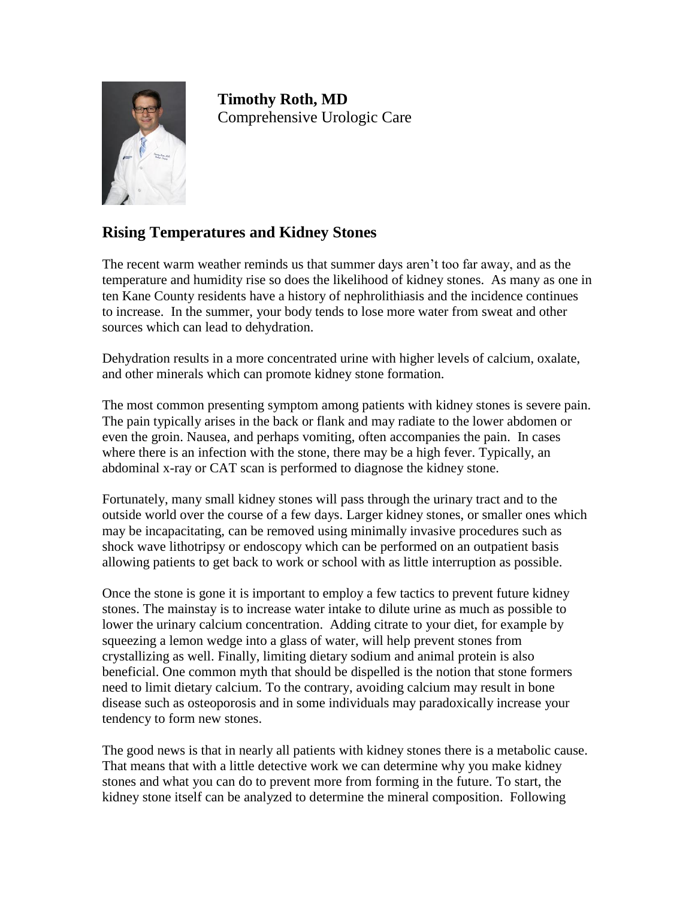

**Timothy Roth, MD** Comprehensive Urologic Care

## **Rising Temperatures and Kidney Stones**

The recent warm weather reminds us that summer days aren't too far away, and as the temperature and humidity rise so does the likelihood of kidney stones. As many as one in ten Kane County residents have a history of nephrolithiasis and the incidence continues to increase. In the summer, your body tends to lose more water from sweat and other sources which can lead to dehydration.

Dehydration results in a more concentrated urine with higher levels of calcium, oxalate, and other minerals which can promote kidney stone formation.

The most common presenting symptom among patients with kidney stones is severe pain. The pain typically arises in the back or flank and may radiate to the lower abdomen or even the groin. Nausea, and perhaps vomiting, often accompanies the pain. In cases where there is an infection with the stone, there may be a high fever. Typically, an abdominal x-ray or CAT scan is performed to diagnose the kidney stone.

Fortunately, many small kidney stones will pass through the urinary tract and to the outside world over the course of a few days. Larger kidney stones, or smaller ones which may be incapacitating, can be removed using minimally invasive procedures such as shock wave lithotripsy or endoscopy which can be performed on an outpatient basis allowing patients to get back to work or school with as little interruption as possible.

Once the stone is gone it is important to employ a few tactics to prevent future kidney stones. The mainstay is to increase water intake to dilute urine as much as possible to lower the urinary calcium concentration. Adding citrate to your diet, for example by squeezing a lemon wedge into a glass of water, will help prevent stones from crystallizing as well. Finally, limiting dietary sodium and animal protein is also beneficial. One common myth that should be dispelled is the notion that stone formers need to limit dietary calcium. To the contrary, avoiding calcium may result in bone disease such as osteoporosis and in some individuals may paradoxically increase your tendency to form new stones.

The good news is that in nearly all patients with kidney stones there is a metabolic cause. That means that with a little detective work we can determine why you make kidney stones and what you can do to prevent more from forming in the future. To start, the kidney stone itself can be analyzed to determine the mineral composition. Following